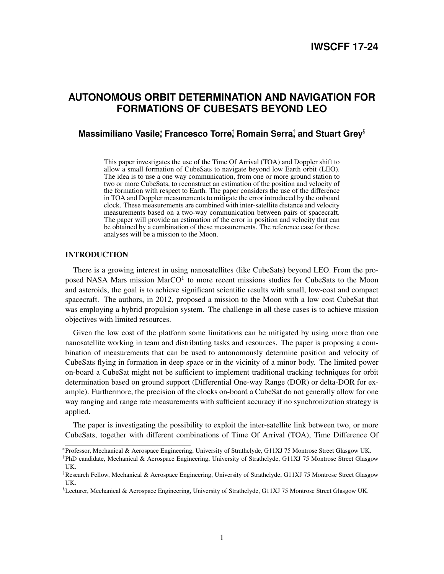# **AUTONOMOUS ORBIT DETERMINATION AND NAVIGATION FOR FORMATIONS OF CUBESATS BEYOND LEO**

# **Massimiliano Vasile,ँ Francesco Torre**; Romain Serra‡and Stuart Grey§

This paper investigates the use of the Time Of Arrival (TOA) and Doppler shift to allow a small formation of CubeSats to navigate beyond low Earth orbit (LEO). The idea is to use a one way communication, from one or more ground station to two or more CubeSats, to reconstruct an estimation of the position and velocity of the formation with respect to Earth. The paper considers the use of the difference in TOA and Doppler measurements to mitigate the error introduced by the onboard clock. These measurements are combined with inter-satellite distance and velocity measurements based on a two-way communication between pairs of spacecraft. The paper will provide an estimation of the error in position and velocity that can be obtained by a combination of these measurements. The reference case for these analyses will be a mission to the Moon.

# INTRODUCTION

There is a growing interest in using nanosatellites (like CubeSats) beyond LEO. From the proposed NASA Mars mission Mar $CO<sup>1</sup>$  $CO<sup>1</sup>$  $CO<sup>1</sup>$  to more recent missions studies for CubeSats to the Moon and asteroids, the goal is to achieve significant scientific results with small, low-cost and compact spacecraft. The authors, in 2012, proposed a mission to the Moon with a low cost CubeSat that was employing a hybrid propulsion system. The challenge in all these cases is to achieve mission objectives with limited resources.

Given the low cost of the platform some limitations can be mitigated by using more than one nanosatellite working in team and distributing tasks and resources. The paper is proposing a combination of measurements that can be used to autonomously determine position and velocity of CubeSats flying in formation in deep space or in the vicinity of a minor body. The limited power on-board a CubeSat might not be sufficient to implement traditional tracking techniques for orbit determination based on ground support (Differential One-way Range (DOR) or delta-DOR for example). Furthermore, the precision of the clocks on-board a CubeSat do not generally allow for one way ranging and range rate measurements with sufficient accuracy if no synchronization strategy is applied.

The paper is investigating the possibility to exploit the inter-satellite link between two, or more CubeSats, together with different combinations of Time Of Arrival (TOA), Time Difference Of

<sup>∗</sup> Professor, Mechanical & Aerospace Engineering, University of Strathclyde, G11XJ 75 Montrose Street Glasgow UK.

<sup>†</sup> PhD candidate, Mechanical & Aerospace Engineering, University of Strathclyde, G11XJ 75 Montrose Street Glasgow UK.

<sup>‡</sup>Research Fellow, Mechanical & Aerospace Engineering, University of Strathclyde, G11XJ 75 Montrose Street Glasgow UK.

<sup>§</sup>Lecturer, Mechanical & Aerospace Engineering, University of Strathclyde, G11XJ 75 Montrose Street Glasgow UK.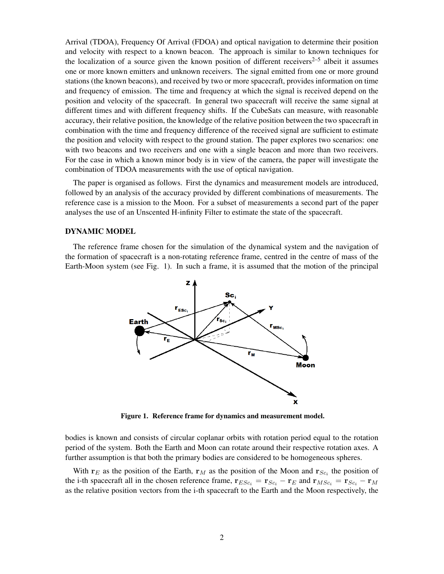Arrival (TDOA), Frequency Of Arrival (FDOA) and optical navigation to determine their position and velocity with respect to a known beacon. The approach is similar to known techniques for the localization of a source given the known position of different receivers<sup>[2](#page-19-1)[–5](#page-19-2)</sup> albeit it assumes one or more known emitters and unknown receivers. The signal emitted from one or more ground stations (the known beacons), and received by two or more spacecraft, provides information on time and frequency of emission. The time and frequency at which the signal is received depend on the position and velocity of the spacecraft. In general two spacecraft will receive the same signal at different times and with different frequency shifts. If the CubeSats can measure, with reasonable accuracy, their relative position, the knowledge of the relative position between the two spacecraft in combination with the time and frequency difference of the received signal are sufficient to estimate the position and velocity with respect to the ground station. The paper explores two scenarios: one with two beacons and two receivers and one with a single beacon and more than two receivers. For the case in which a known minor body is in view of the camera, the paper will investigate the combination of TDOA measurements with the use of optical navigation.

The paper is organised as follows. First the dynamics and measurement models are introduced, followed by an analysis of the accuracy provided by different combinations of measurements. The reference case is a mission to the Moon. For a subset of measurements a second part of the paper analyses the use of an Unscented H-infinity Filter to estimate the state of the spacecraft.

### DYNAMIC MODEL

The reference frame chosen for the simulation of the dynamical system and the navigation of the formation of spacecraft is a non-rotating reference frame, centred in the centre of mass of the Earth-Moon system (see Fig. [1\)](#page-1-0). In such a frame, it is assumed that the motion of the principal



<span id="page-1-0"></span>Figure 1. Reference frame for dynamics and measurement model.

bodies is known and consists of circular coplanar orbits with rotation period equal to the rotation period of the system. Both the Earth and Moon can rotate around their respective rotation axes. A further assumption is that both the primary bodies are considered to be homogeneous spheres.

With  $r_E$  as the position of the Earth,  $r_M$  as the position of the Moon and  $r_{Sc_i}$  the position of the i-th spacecraft all in the chosen reference frame,  $\mathbf{r}_{ESc_i} = \mathbf{r}_{Sc_i} - \mathbf{r}_E$  and  $\mathbf{r}_{MSc_i} = \mathbf{r}_{Sc_i} - \mathbf{r}_M$ as the relative position vectors from the i-th spacecraft to the Earth and the Moon respectively, the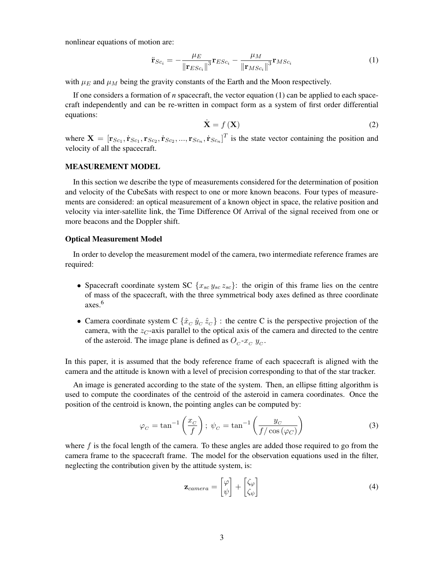nonlinear equations of motion are:

<span id="page-2-0"></span>
$$
\ddot{\mathbf{r}}_{Sc_i} = -\frac{\mu_E}{\left\| \mathbf{r}_{ESc_i} \right\|^3} \mathbf{r}_{ESc_i} - \frac{\mu_M}{\left\| \mathbf{r}_{MSC_i} \right\|^3} \mathbf{r}_{MSC_i}
$$
(1)

with  $\mu_E$  and  $\mu_M$  being the gravity constants of the Earth and the Moon respectively.

If one considers a formation of *n* spacecraft, the vector equation [\(1\)](#page-2-0) can be applied to each spacecraft independently and can be re-written in compact form as a system of first order differential equations:

<span id="page-2-1"></span>
$$
\dot{\mathbf{X}} = f\left(\mathbf{X}\right) \tag{2}
$$

where  $\mathbf{X} = [\mathbf{r}_{Sc_1}, \dot{\mathbf{r}}_{Sc_1}, \mathbf{r}_{Sc_2}, \dot{\mathbf{r}}_{Sc_2}, ..., \mathbf{r}_{Sc_n}, \dot{\mathbf{r}}_{Sc_n}]^T$  is the state vector containing the position and velocity of all the spacecraft.

# MEASUREMENT MODEL

In this section we describe the type of measurements considered for the determination of position and velocity of the CubeSats with respect to one or more known beacons. Four types of measurements are considered: an optical measurement of a known object in space, the relative position and velocity via inter-satellite link, the Time Difference Of Arrival of the signal received from one or more beacons and the Doppler shift.

# Optical Measurement Model

In order to develop the measurement model of the camera, two intermediate reference frames are required:

- Spacecraft coordinate system SC  $\{x_{sc} y_{sc} z_{sc}\}\$ : the origin of this frame lies on the centre of mass of the spacecraft, with the three symmetrical body axes defined as three coordinate axes.[6](#page-19-3)
- Camera coordinate system C  $\{\hat{x}_C \hat{y}_C \hat{z}_C\}$ : the centre C is the perspective projection of the camera, with the  $z_C$ -axis parallel to the optical axis of the camera and directed to the centre of the asteroid. The image plane is defined as  $O_c$ - $x_c$   $y_c$ .

In this paper, it is assumed that the body reference frame of each spacecraft is aligned with the camera and the attitude is known with a level of precision corresponding to that of the star tracker.

An image is generated according to the state of the system. Then, an ellipse fitting algorithm is used to compute the coordinates of the centroid of the asteroid in camera coordinates. Once the position of the centroid is known, the pointing angles can be computed by:

$$
\varphi_C = \tan^{-1}\left(\frac{x_C}{f}\right); \ \psi_C = \tan^{-1}\left(\frac{y_C}{f/\cos(\varphi_C)}\right) \tag{3}
$$

where  $f$  is the focal length of the camera. To these angles are added those required to go from the camera frame to the spacecraft frame. The model for the observation equations used in the filter, neglecting the contribution given by the attitude system, is:

$$
\mathbf{z}_{\text{camera}} = \begin{bmatrix} \varphi \\ \psi \end{bmatrix} + \begin{bmatrix} \zeta_{\varphi} \\ \zeta_{\psi} \end{bmatrix} \tag{4}
$$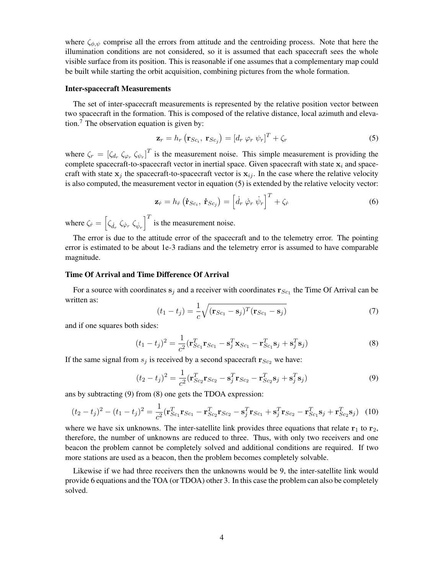where  $\zeta_{\phi,\psi}$  comprise all the errors from attitude and the centroiding process. Note that here the illumination conditions are not considered, so it is assumed that each spacecraft sees the whole visible surface from its position. This is reasonable if one assumes that a complementary map could be built while starting the orbit acquisition, combining pictures from the whole formation.

# Inter-spacecraft Measurements

The set of inter-spacecraft measurements is represented by the relative position vector between two spacecraft in the formation. This is composed of the relative distance, local azimuth and eleva-tion.<sup>[7](#page-19-4)</sup> The observation equation is given by:

<span id="page-3-0"></span>
$$
\mathbf{z}_r = h_r \left( \mathbf{r}_{Sc_i}, \ \mathbf{r}_{Sc_j} \right) = \left[ d_r \ \varphi_r \ \psi_r \right]^T + \zeta_r \tag{5}
$$

where  $\zeta_r = [\zeta_{d_r} \zeta_{\varphi_r} \zeta_{\psi_r}]^T$  is the measurement noise. This simple measurement is providing the complete spacecraft-to-spacecraft vector in inertial space. Given spacecraft with state  $x_i$  and spacecraft with state  $x_j$  the spacecraft-to-spacecraft vector is  $x_{ij}$ . In the case where the relative velocity is also computed, the measurement vector in equation [\(5\)](#page-3-0) is extended by the relative velocity vector:

$$
\mathbf{z}_{\dot{r}} = h_{\dot{r}} \left( \dot{\mathbf{r}}_{Sc_i}, \ \dot{\mathbf{r}}_{Sc_j} \right) = \left[ \dot{d}_r \ \dot{\varphi}_r \ \dot{\psi}_r \right]^T + \zeta_{\dot{r}} \tag{6}
$$

where  $\zeta_{\dot{r}} = \left[ \zeta_{\dot{d}_r} \zeta_{\dot{\varphi}_r} \zeta_{\dot{\psi}_r} \right]^T$  is the measurement noise.

The error is due to the attitude error of the spacecraft and to the telemetry error. The pointing error is estimated to be about 1e-3 radians and the telemetry error is assumed to have comparable magnitude.

# Time Of Arrival and Time Difference Of Arrival

For a source with coordinates  $s_j$  and a receiver with coordinates  $r_{Sc_1}$  the Time Of Arrival can be written as:

$$
(t_1 - t_j) = \frac{1}{c} \sqrt{(\mathbf{r}_{Sc_1} - \mathbf{s}_j)^T (\mathbf{r}_{Sc_1} - \mathbf{s}_j)}
$$
(7)

and if one squares both sides:

<span id="page-3-2"></span>
$$
(t_1 - t_j)^2 = \frac{1}{c^2} (\mathbf{r}_{Sc_1}^T \mathbf{r}_{Sc_1} - \mathbf{s}_j^T \mathbf{x}_{Sc_1} - \mathbf{r}_{Sc_1}^T \mathbf{s}_j + \mathbf{s}_j^T \mathbf{s}_j)
$$
(8)

If the same signal from  $s_j$  is received by a second spacecraft  $\mathbf{r}_{Sc_2}$  we have:

<span id="page-3-1"></span>
$$
(t_2 - t_j)^2 = \frac{1}{c^2} (\mathbf{r}_{Sc_2}^T \mathbf{r}_{Sc_2} - \mathbf{s}_j^T \mathbf{r}_{Sc_2} - \mathbf{r}_{Sc_2}^T \mathbf{s}_j + \mathbf{s}_j^T \mathbf{s}_j)
$$
(9)

ans by subtracting [\(9\)](#page-3-1) from [\(8\)](#page-3-2) one gets the TDOA expression:

<span id="page-3-3"></span>
$$
(t_2 - t_j)^2 - (t_1 - t_j)^2 = \frac{1}{c^2} (\mathbf{r}_{Sc_1}^T \mathbf{r}_{Sc_1} - \mathbf{r}_{Sc_2}^T \mathbf{r}_{Sc_2} - \mathbf{s}_j^T \mathbf{r}_{Sc_1} + \mathbf{s}_j^T \mathbf{r}_{Sc_2} - \mathbf{r}_{Sc_1}^T \mathbf{s}_j + \mathbf{r}_{Sc_2}^T \mathbf{s}_j)
$$
(10)

where we have six unknowns. The inter-satellite link provides three equations that relate  $\mathbf{r}_1$  to  $\mathbf{r}_2$ , therefore, the number of unknowns are reduced to three. Thus, with only two receivers and one beacon the problem cannot be completely solved and additional conditions are required. If two more stations are used as a beacon, then the problem becomes completely solvable.

Likewise if we had three receivers then the unknowns would be 9, the inter-satellite link would provide 6 equations and the TOA (or TDOA) other 3. In this case the problem can also be completely solved.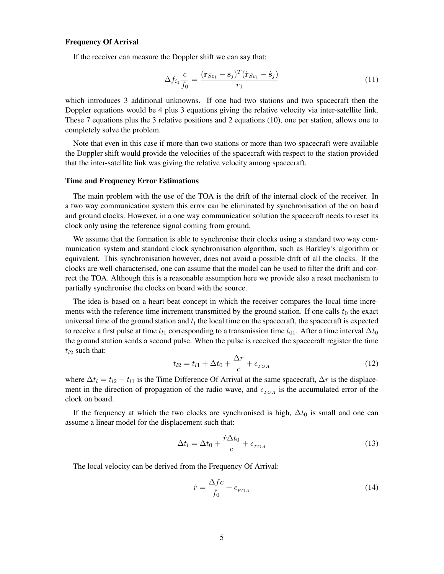# Frequency Of Arrival

If the receiver can measure the Doppler shift we can say that:

$$
\Delta f_{i_1} \frac{c}{f_0} = \frac{(\mathbf{r}_{Sc_1} - \mathbf{s}_j)^T (\dot{\mathbf{r}}_{Sc_1} - \dot{\mathbf{s}}_j)}{r_1}
$$
(11)

which introduces 3 additional unknowns. If one had two stations and two spacecraft then the Doppler equations would be 4 plus 3 equations giving the relative velocity via inter-satellite link. These 7 equations plus the 3 relative positions and 2 equations [\(10\)](#page-3-3), one per station, allows one to completely solve the problem.

Note that even in this case if more than two stations or more than two spacecraft were available the Doppler shift would provide the velocities of the spacecraft with respect to the station provided that the inter-satellite link was giving the relative velocity among spacecraft.

# Time and Frequency Error Estimations

The main problem with the use of the TOA is the drift of the internal clock of the receiver. In a two way communication system this error can be eliminated by synchronisation of the on board and ground clocks. However, in a one way communication solution the spacecraft needs to reset its clock only using the reference signal coming from ground.

We assume that the formation is able to synchronise their clocks using a standard two way communication system and standard clock synchronisation algorithm, such as Barkley's algorithm or equivalent. This synchronisation however, does not avoid a possible drift of all the clocks. If the clocks are well characterised, one can assume that the model can be used to filter the drift and correct the TOA. Although this is a reasonable assumption here we provide also a reset mechanism to partially synchronise the clocks on board with the source.

The idea is based on a heart-beat concept in which the receiver compares the local time increments with the reference time increment transmitted by the ground station. If one calls  $t_0$  the exact universal time of the ground station and  $t_l$  the local time on the spacecraft, the spacecraft is expected to receive a first pulse at time  $t_{l1}$  corresponding to a transmission time  $t_{01}$ . After a time interval  $\Delta t_0$ the ground station sends a second pulse. When the pulse is received the spacecraft register the time  $t_{l2}$  such that:

$$
t_{l2} = t_{l1} + \Delta t_0 + \frac{\Delta r}{c} + \epsilon_{TOA} \tag{12}
$$

where  $\Delta t_l = t_{l2} - t_{l1}$  is the Time Difference Of Arrival at the same spacecraft,  $\Delta r$  is the displacement in the direction of propagation of the radio wave, and  $\epsilon_{TOA}$  is the accumulated error of the clock on board.

If the frequency at which the two clocks are synchronised is high,  $\Delta t_0$  is small and one can assume a linear model for the displacement such that:

$$
\Delta t_l = \Delta t_0 + \frac{\dot{r}\Delta t_0}{c} + \epsilon_{TOA} \tag{13}
$$

The local velocity can be derived from the Frequency Of Arrival:

$$
\dot{r} = \frac{\Delta f c}{f_0} + \epsilon_{FOA} \tag{14}
$$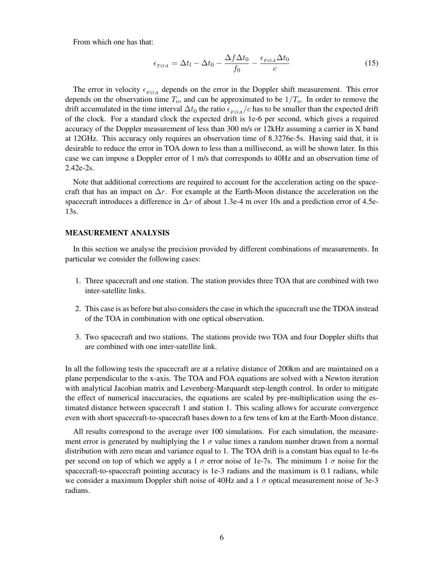From which one has that:

$$
\epsilon_{TOA} = \Delta t_l - \Delta t_0 - \frac{\Delta f \Delta t_0}{f_0} - \frac{\epsilon_{FOA} \Delta t_0}{c} \tag{15}
$$

The error in velocity  $\epsilon_{FOA}$  depends on the error in the Doppler shift measurement. This error depends on the observation time  $T_o$ , and can be approximated to be  $1/T_o$ . In order to remove the drift accumulated in the time interval  $\Delta t_0$  the ratio  $\epsilon_{FOA}/c$  has to be smaller than the expected drift of the clock. For a standard clock the expected drift is 1e-6 per second, which gives a required accuracy of the Doppler measurement of less than 300 m/s or 12kHz assuming a carrier in X band at 12GHz. This accuracy only requires an observation time of 8.3276e-5s. Having said that, it is desirable to reduce the error in TOA down to less than a millisecond, as will be shown later. In this case we can impose a Doppler error of 1 m/s that corresponds to 40Hz and an observation time of 2.42e-2s.

Note that additional corrections are required to account for the acceleration acting on the spacecraft that has an impact on  $\Delta r$ . For example at the Earth-Moon distance the acceleration on the spacecraft introduces a difference in  $\Delta r$  of about 1.3e-4 m over 10s and a prediction error of 4.5e-13s.

# MEASUREMENT ANALYSIS

In this section we analyse the precision provided by different combinations of measurements. In particular we consider the following cases:

- 1. Three spacecraft and one station. The station provides three TOA that are combined with two inter-satellite links.
- 2. This case is as before but also considers the case in which the spacecraft use the TDOA instead of the TOA in combination with one optical observation.
- 3. Two spacecraft and two stations. The stations provide two TOA and four Doppler shifts that are combined with one inter-satellite link.

In all the following tests the spacecraft are at a relative distance of 200km and are maintained on a plane perpendicular to the x-axis. The TOA and FOA equations are solved with a Newton iteration with analytical Jacobian matrix and Levenberg-Marquardt step-length control. In order to mitigate the effect of numerical inaccuracies, the equations are scaled by pre-multiplication using the estimated distance between spacecraft 1 and station 1. This scaling allows for accurate convergence even with short spacecraft-to-spacecraft bases down to a few tens of km at the Earth-Moon distance.

All results correspond to the average over 100 simulations. For each simulation, the measurement error is generated by multiplying the 1  $\sigma$  value times a random number drawn from a normal distribution with zero mean and variance equal to 1. The TOA drift is a constant bias equal to 1e-6s per second on top of which we apply a 1  $\sigma$  error noise of 1e-7s. The minimum 1  $\sigma$  noise for the spacecraft-to-spacecraft pointing accuracy is 1e-3 radians and the maximum is 0.1 radians, while we consider a maximum Doppler shift noise of 40Hz and a 1  $\sigma$  optical measurement noise of 3e-3 radians.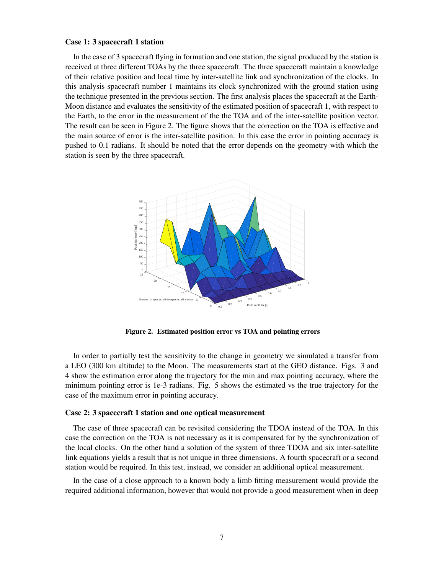#### Case 1: 3 spacecraft 1 station

In the case of 3 spacecraft flying in formation and one station, the signal produced by the station is received at three different TOAs by the three spacecraft. The three spacecraft maintain a knowledge of their relative position and local time by inter-satellite link and synchronization of the clocks. In this analysis spacecraft number 1 maintains its clock synchronized with the ground station using the technique presented in the previous section. The first analysis places the spacecraft at the Earth-Moon distance and evaluates the sensitivity of the estimated position of spacecraft 1, with respect to the Earth, to the error in the measurement of the the TOA and of the inter-satellite position vector. The result can be seen in Figure [2.](#page-6-0) The figure shows that the correction on the TOA is effective and the main source of error is the inter-satellite position. In this case the error in pointing accuracy is pushed to 0.1 radians. It should be noted that the error depends on the geometry with which the station is seen by the three spacecraft.



<span id="page-6-0"></span>Figure 2. Estimated position error vs TOA and pointing errors

In order to partially test the sensitivity to the change in geometry we simulated a transfer from a LEO (300 km altitude) to the Moon. The measurements start at the GEO distance. Figs. [3](#page-7-0) and [4](#page-7-1) show the estimation error along the trajectory for the min and max pointing accuracy, where the minimum pointing error is 1e-3 radians. Fig. [5](#page-7-2) shows the estimated vs the true trajectory for the case of the maximum error in pointing accuracy.

#### Case 2: 3 spacecraft 1 station and one optical measurement

The case of three spacecraft can be revisited considering the TDOA instead of the TOA. In this case the correction on the TOA is not necessary as it is compensated for by the synchronization of the local clocks. On the other hand a solution of the system of three TDOA and six inter-satellite link equations yields a result that is not unique in three dimensions. A fourth spacecraft or a second station would be required. In this test, instead, we consider an additional optical measurement.

In the case of a close approach to a known body a limb fitting measurement would provide the required additional information, however that would not provide a good measurement when in deep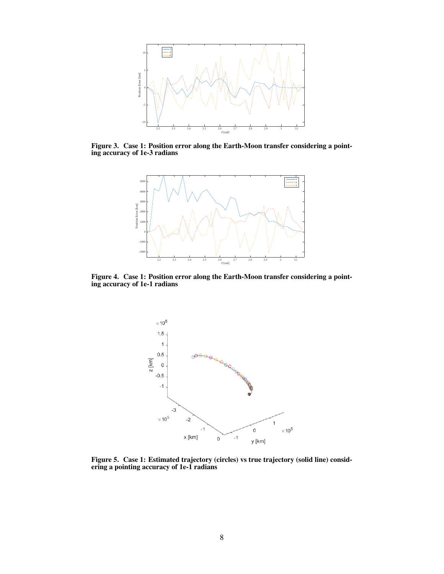

Figure 3. Case 1: Position error along the Earth-Moon transfer considering a pointing accuracy of 1e-3 radians

<span id="page-7-0"></span>

<span id="page-7-1"></span>Figure 4. Case 1: Position error along the Earth-Moon transfer considering a pointing accuracy of 1e-1 radians



<span id="page-7-2"></span>Figure 5. Case 1: Estimated trajectory (circles) vs true trajectory (solid line) considering a pointing accuracy of 1e-1 radians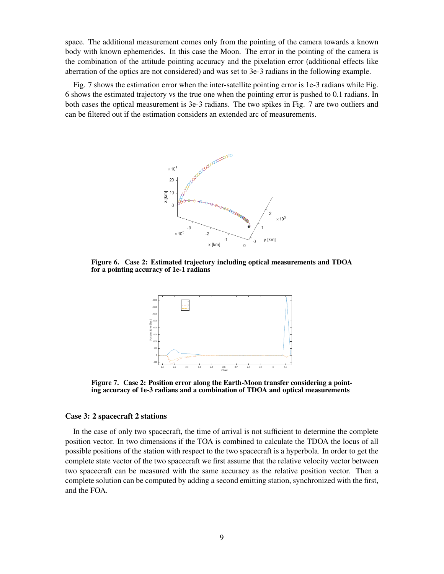space. The additional measurement comes only from the pointing of the camera towards a known body with known ephemerides. In this case the Moon. The error in the pointing of the camera is the combination of the attitude pointing accuracy and the pixelation error (additional effects like aberration of the optics are not considered) and was set to 3e-3 radians in the following example.

Fig. [7](#page-8-0) shows the estimation error when the inter-satellite pointing error is 1e-3 radians while Fig. [6](#page-8-1) shows the estimated trajectory vs the true one when the pointing error is pushed to 0.1 radians. In both cases the optical measurement is 3e-3 radians. The two spikes in Fig. [7](#page-8-0) are two outliers and can be filtered out if the estimation considers an extended arc of measurements.



<span id="page-8-1"></span>Figure 6. Case 2: Estimated trajectory including optical measurements and TDOA for a pointing accuracy of 1e-1 radians



<span id="page-8-0"></span>Figure 7. Case 2: Position error along the Earth-Moon transfer considering a pointing accuracy of 1e-3 radians and a combination of TDOA and optical measurements

### Case 3: 2 spacecraft 2 stations

In the case of only two spacecraft, the time of arrival is not sufficient to determine the complete position vector. In two dimensions if the TOA is combined to calculate the TDOA the locus of all possible positions of the station with respect to the two spacecraft is a hyperbola. In order to get the complete state vector of the two spacecraft we first assume that the relative velocity vector between two spacecraft can be measured with the same accuracy as the relative position vector. Then a complete solution can be computed by adding a second emitting station, synchronized with the first, and the FOA.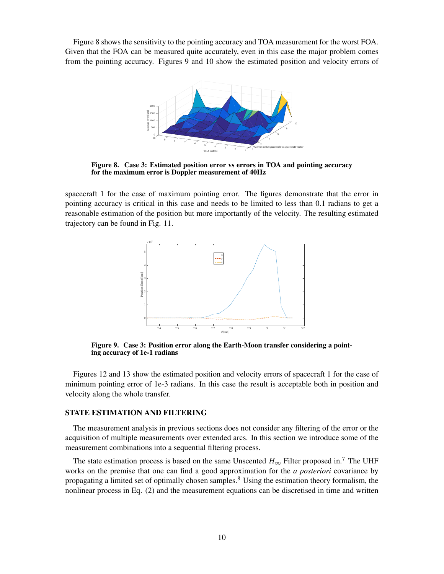Figure [8](#page-9-0) shows the sensitivity to the pointing accuracy and TOA measurement for the worst FOA. Given that the FOA can be measured quite accurately, even in this case the major problem comes from the pointing accuracy. Figures [9](#page-9-1) and [10](#page-10-0) show the estimated position and velocity errors of



<span id="page-9-0"></span>Figure 8. Case 3: Estimated position error vs errors in TOA and pointing accuracy for the maximum error is Doppler measurement of 40Hz

spacecraft 1 for the case of maximum pointing error. The figures demonstrate that the error in pointing accuracy is critical in this case and needs to be limited to less than 0.1 radians to get a reasonable estimation of the position but more importantly of the velocity. The resulting estimated trajectory can be found in Fig. [11.](#page-10-1)



<span id="page-9-1"></span>Figure 9. Case 3: Position error along the Earth-Moon transfer considering a pointing accuracy of 1e-1 radians

Figures [12](#page-10-2) and [13](#page-11-0) show the estimated position and velocity errors of spacecraft 1 for the case of minimum pointing error of 1e-3 radians. In this case the result is acceptable both in position and velocity along the whole transfer.

# STATE ESTIMATION AND FILTERING

The measurement analysis in previous sections does not consider any filtering of the error or the acquisition of multiple measurements over extended arcs. In this section we introduce some of the measurement combinations into a sequential filtering process.

The state estimation process is based on the same Unscented  $H_{\infty}$  Filter proposed in.<sup>[7](#page-19-4)</sup> The UHF works on the premise that one can find a good approximation for the *a posteriori* covariance by propagating a limited set of optimally chosen samples.[8](#page-19-5) Using the estimation theory formalism, the nonlinear process in Eq. [\(2\)](#page-2-1) and the measurement equations can be discretised in time and written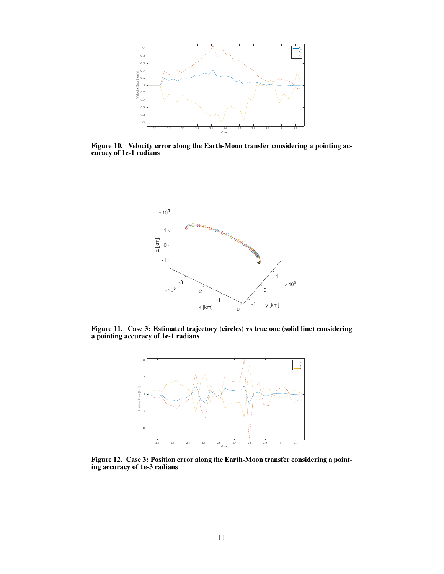

<span id="page-10-0"></span>Figure 10. Velocity error along the Earth-Moon transfer considering a pointing accuracy of 1e-1 radians



Figure 11. Case 3: Estimated trajectory (circles) vs true one (solid line) considering a pointing accuracy of 1e-1 radians

<span id="page-10-1"></span>

<span id="page-10-2"></span>Figure 12. Case 3: Position error along the Earth-Moon transfer considering a pointing accuracy of 1e-3 radians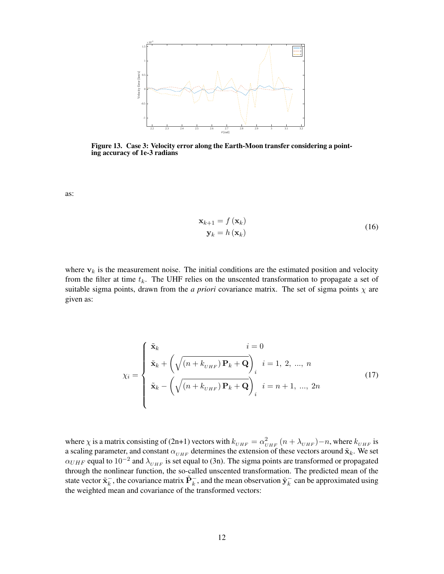

<span id="page-11-0"></span>Figure 13. Case 3: Velocity error along the Earth-Moon transfer considering a pointing accuracy of 1e-3 radians

as:

$$
\mathbf{x}_{k+1} = f(\mathbf{x}_k)
$$
  

$$
\mathbf{y}_k = h(\mathbf{x}_k)
$$
 (16)

where  $v_k$  is the measurement noise. The initial conditions are the estimated position and velocity from the filter at time  $t_k$ . The UHF relies on the unscented transformation to propagate a set of suitable sigma points, drawn from the *a priori* covariance matrix. The set of sigma points  $\chi$  are given as:

$$
\chi_i = \begin{cases} \tilde{\mathbf{x}}_k & i = 0 \\ \tilde{\mathbf{x}}_k + \left(\sqrt{\left(n + k_{UHF}\right) \mathbf{P}_k + \mathbf{Q}}\right)_i & i = 1, 2, \dots, n \\ \tilde{\mathbf{x}}_k - \left(\sqrt{\left(n + k_{UHF}\right) \mathbf{P}_k + \mathbf{Q}}\right)_i & i = n + 1, \dots, 2n \end{cases} \tag{17}
$$

where  $\chi$  is a matrix consisting of (2n+1) vectors with  $k_{UHF} = \alpha_{UHF}^2 (n + \lambda_{UHF}) - n$ , where  $k_{UHF}$  is a scaling parameter, and constant  $\alpha_{UHF}$  determines the extension of these vectors around  $\tilde{\mathbf{x}}_k$ . We set  $\alpha_{UHF}$  equal to  $10^{-2}$  and  $\lambda_{UHF}$  is set equal to (3n). The sigma points are transformed or propagated through the nonlinear function, the so-called unscented transformation. The predicted mean of the state vector  $\tilde{\mathbf{x}}_k^ \vec{k}$ , the covariance matrix  $\tilde{P}_k^-$ , and the mean observation  $\tilde{y}_k^ \overline{k}$  can be approximated using the weighted mean and covariance of the transformed vectors: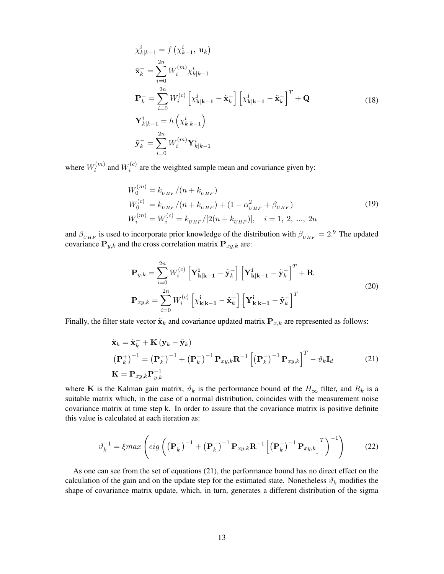$$
\chi_{k|k-1}^{i} = f\left(\chi_{k-1}^{i}, \mathbf{u}_{k}\right)
$$
\n
$$
\tilde{\mathbf{x}}_{k}^{-} = \sum_{i=0}^{2n} W_{i}^{(m)} \chi_{k|k-1}^{i}
$$
\n
$$
\mathbf{P}_{k}^{-} = \sum_{i=0}^{2n} W_{i}^{(c)} \left[\chi_{k|k-1}^{i} - \tilde{\mathbf{x}}_{k}^{-}\right] \left[\chi_{k|k-1}^{i} - \tilde{\mathbf{x}}_{k}^{-}\right]^{T} + \mathbf{Q}
$$
\n
$$
\mathbf{Y}_{k|k-1}^{i} = h\left(\chi_{k|k-1}^{i}\right)
$$
\n
$$
\tilde{\mathbf{y}}_{k}^{-} = \sum_{i=0}^{2n} W_{i}^{(m)} \mathbf{Y}_{k|k-1}^{i}
$$
\n(18)

where  $W_i^{(m)}$  $a_i^{(m)}$  and  $W_i^{(c)}$  $i^{(c)}$  are the weighted sample mean and covariance given by:

$$
W_0^{(m)} = k_{UHF}/(n + k_{UHF})
$$
  
\n
$$
W_0^{(c)} = k_{UHF}/(n + k_{UHF}) + (1 - \alpha_{UHF}^2 + \beta_{UHF})
$$
  
\n
$$
W_i^{(m)} = W_i^{(c)} = k_{UHF}/[2(n + k_{UHF})], \quad i = 1, 2, ..., 2n
$$
\n(19)

and  $\beta_{UHF}$  is used to incorporate prior knowledge of the distribution with  $\beta_{UHF} = 2.9$  $\beta_{UHF} = 2.9$  The updated covariance  $P_{y,k}$  and the cross correlation matrix  $P_{xy,k}$  are:

$$
\mathbf{P}_{y,k} = \sum_{i=0}^{2n} W_i^{(c)} \left[ \mathbf{Y}_{\mathbf{k}|\mathbf{k}-1}^{\mathbf{i}} - \tilde{\mathbf{y}}_k^- \right] \left[ \mathbf{Y}_{\mathbf{k}|\mathbf{k}-1}^{\mathbf{i}} - \tilde{\mathbf{y}}_k^- \right]^T + \mathbf{R}
$$
\n
$$
\mathbf{P}_{xy,k} = \sum_{i=0}^{2n} W_i^{(c)} \left[ \chi_{\mathbf{k}|\mathbf{k}-1}^{\mathbf{i}} - \tilde{\mathbf{x}}_k^- \right] \left[ \mathbf{Y}_{\mathbf{k}|\mathbf{k}-1}^{\mathbf{i}} - \tilde{\mathbf{y}}_k^- \right]^T
$$
\n(20)

Finally, the filter state vector  $\tilde{\mathbf{x}}_k$  and covariance updated matrix  $\mathbf{P}_{x,k}$  are represented as follows:

<span id="page-12-0"></span>
$$
\tilde{\mathbf{x}}_{k} = \tilde{\mathbf{x}}_{k}^{-} + \mathbf{K} (\mathbf{y}_{k} - \tilde{\mathbf{y}}_{k})
$$
\n
$$
\left(\mathbf{P}_{k}^{+}\right)^{-1} = \left(\mathbf{P}_{k}^{-}\right)^{-1} + \left(\mathbf{P}_{k}^{-}\right)^{-1} \mathbf{P}_{xy,k} \mathbf{R}^{-1} \left[\left(\mathbf{P}_{k}^{-}\right)^{-1} \mathbf{P}_{xy,k}\right]^{T} - \vartheta_{k} \mathbf{I}_{d}
$$
\n
$$
\mathbf{K} = \mathbf{P}_{xy,k} \mathbf{P}_{y,k}^{-1}
$$
\n(21)

where K is the Kalman gain matrix,  $\vartheta_k$  is the performance bound of the  $H_{\infty}$  filter, and  $R_k$  is a suitable matrix which, in the case of a normal distribution, coincides with the measurement noise covariance matrix at time step k. In order to assure that the covariance matrix is positive definite this value is calculated at each iteration as:

$$
\vartheta_k^{-1} = \xi \max \left( \text{eig} \left( \left( \mathbf{P}_k^{-} \right)^{-1} + \left( \mathbf{P}_k^{-} \right)^{-1} \mathbf{P}_{xy,k} \mathbf{R}^{-1} \left[ \left( \mathbf{P}_k^{-} \right)^{-1} \mathbf{P}_{xy,k} \right]^T \right)^{-1} \right) \tag{22}
$$

As one can see from the set of equations [\(21\)](#page-12-0), the performance bound has no direct effect on the calculation of the gain and on the update step for the estimated state. Nonetheless  $\vartheta_k$  modifies the shape of covariance matrix update, which, in turn, generates a different distribution of the sigma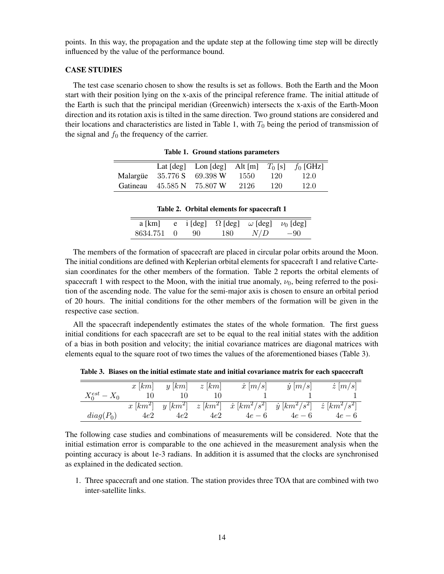points. In this way, the propagation and the update step at the following time step will be directly influenced by the value of the performance bound.

# CASE STUDIES

The test case scenario chosen to show the results is set as follows. Both the Earth and the Moon start with their position lying on the x-axis of the principal reference frame. The initial attitude of the Earth is such that the principal meridian (Greenwich) intersects the x-axis of the Earth-Moon direction and its rotation axis is tilted in the same direction. Two ground stations are considered and their locations and characteristics are listed in Table [1,](#page-13-0) with  $T_0$  being the period of transmission of the signal and  $f_0$  the frequency of the carrier.

|          |                            | Lat $[deg]$ Lon $[deg]$ Alt $[m]$ $T_0$ $[s]$ $f_0$ $[GHz]$ |      |     |      |
|----------|----------------------------|-------------------------------------------------------------|------|-----|------|
|          | Malargue 35.776 S 69.398 W |                                                             | 1550 | 120 | 12.0 |
| Gatineau |                            | 45.585 N 75.807 W                                           | 2126 | 120 | 12.0 |

<span id="page-13-0"></span>Table 1. Ground stations parameters

<span id="page-13-1"></span>

|  |  |  |  | Table 2. Orbital elements for spacecraft 1 |
|--|--|--|--|--------------------------------------------|
|--|--|--|--|--------------------------------------------|

| a [km]     |      |     | e i [deg] $\Omega$ [deg] $\omega$ [deg] $\nu_0$ [deg] |       |
|------------|------|-----|-------------------------------------------------------|-------|
| 8634.751 0 | - 90 | 180 | N/D                                                   | $-90$ |

The members of the formation of spacecraft are placed in circular polar orbits around the Moon. The initial conditions are defined with Keplerian orbital elements for spacecraft 1 and relative Cartesian coordinates for the other members of the formation. Table [2](#page-13-1) reports the orbital elements of spacecraft 1 with respect to the Moon, with the initial true anomaly,  $\nu_0$ , being referred to the position of the ascending node. The value for the semi-major axis is chosen to ensure an orbital period of 20 hours. The initial conditions for the other members of the formation will be given in the respective case section.

All the spacecraft independently estimates the states of the whole formation. The first guess initial conditions for each spacecraft are set to be equal to the real initial states with the addition of a bias in both position and velocity; the initial covariance matrices are diagonal matrices with elements equal to the square root of two times the values of the aforementioned biases (Table [3\)](#page-13-2).

<span id="page-13-2"></span>Table 3. Biases on the initial estimate state and initial covariance matrix for each spacecraft

|                   |     | $x [km]$ $y [km]$ $z [km]$ |     | $\dot{x}$ $ m/s $                                                                               | $\dot{y}$ $[m/s]$ | $\dot{z}$ $[m/s]$ |
|-------------------|-----|----------------------------|-----|-------------------------------------------------------------------------------------------------|-------------------|-------------------|
| $X_0^{est} - X_0$ |     | 10                         |     |                                                                                                 |                   |                   |
|                   |     |                            |     | $x [km^2]$ $y [km^2]$ $z [km^2]$ $\dot{x} [km^2/s^2]$ $\dot{y} [km^2/s^2]$ $\dot{z} [km^2/s^2]$ |                   |                   |
| $diag(P_0)$       | 4e2 | 4e2                        | 4e2 | $4e-6$                                                                                          | $4e-6$            | $4e-6$            |

The following case studies and combinations of measurements will be considered. Note that the initial estimation error is comparable to the one achieved in the measurement analysis when the pointing accuracy is about 1e-3 radians. In addition it is assumed that the clocks are synchronised as explained in the dedicated section.

1. Three spacecraft and one station. The station provides three TOA that are combined with two inter-satellite links.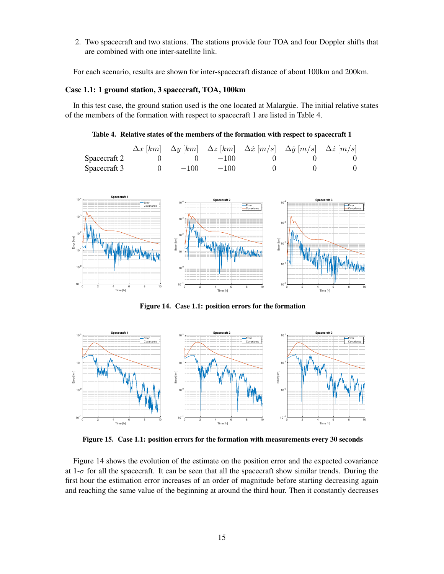2. Two spacecraft and two stations. The stations provide four TOA and four Doppler shifts that are combined with one inter-satellite link.

For each scenario, results are shown for inter-spacecraft distance of about 100km and 200km.

# Case 1.1: 1 ground station, 3 spacecraft, TOA, 100km

In this test case, the ground station used is the one located at Malargue. The initial relative states of the members of the formation with respect to spacecraft 1 are listed in Table [4.](#page-14-0)

<span id="page-14-0"></span>Table 4. Relative states of the members of the formation with respect to spacecraft 1

|              |        |        | $\Delta x$ [km] $\Delta y$ [km] $\Delta z$ [km] $\Delta \dot{x}$ [m/s] $\Delta \dot{y}$ [m/s] $\Delta \dot{z}$ [m/s] |  |
|--------------|--------|--------|----------------------------------------------------------------------------------------------------------------------|--|
| Spacecraft 2 |        | $-100$ |                                                                                                                      |  |
| Spacecraft 3 | $-100$ | $-100$ |                                                                                                                      |  |



<span id="page-14-1"></span>Figure 14. Case 1.1: position errors for the formation



<span id="page-14-2"></span>Figure 15. Case 1.1: position errors for the formation with measurements every 30 seconds

Figure [14](#page-14-1) shows the evolution of the estimate on the position error and the expected covariance at  $1-\sigma$  for all the spacecraft. It can be seen that all the spacecraft show similar trends. During the first hour the estimation error increases of an order of magnitude before starting decreasing again and reaching the same value of the beginning at around the third hour. Then it constantly decreases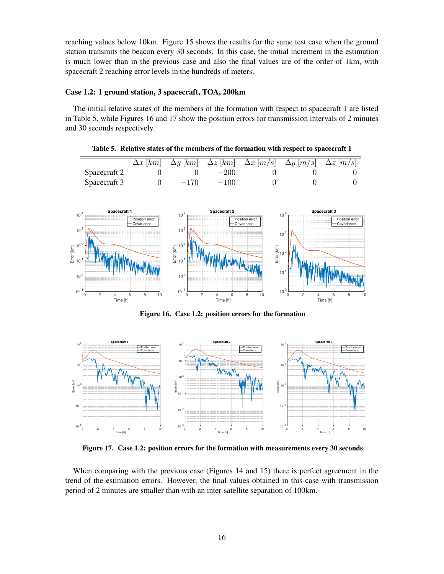reaching values below 10km. Figure [15](#page-14-2) shows the results for the same test case when the ground station transmits the beacon every 30 seconds. In this case, the initial increment in the estimation is much lower than in the previous case and also the final values are of the order of 1km, with spacecraft 2 reaching error levels in the hundreds of meters.

# Case 1.2: 1 ground station, 3 spacecraft, TOA, 200km

The initial relative states of the members of the formation with respect to spacecraft 1 are listed in Table [5,](#page-15-0) while Figures [16](#page-15-1) and [17](#page-15-2) show the position errors for transmission intervals of 2 minutes and 30 seconds respectively.

|              |        |        | $\Delta x$ [km] $\Delta y$ [km] $\Delta z$ [km] $\Delta \dot{x}$ [m/s] $\Delta \dot{y}$ [m/s] $\Delta \dot{z}$ [m/s] |  |
|--------------|--------|--------|----------------------------------------------------------------------------------------------------------------------|--|
| Spacecraft 2 |        | $-200$ |                                                                                                                      |  |
| Spacecraft 3 | $-170$ | $-100$ |                                                                                                                      |  |

<span id="page-15-0"></span>Table 5. Relative states of the members of the formation with respect to spacecraft 1



<span id="page-15-1"></span>Figure 16. Case 1.2: position errors for the formation



<span id="page-15-2"></span>Figure 17. Case 1.2: position errors for the formation with measurements every 30 seconds

When comparing with the previous case (Figures [14](#page-14-1) and [15\)](#page-14-2) there is perfect agreement in the trend of the estimation errors. However, the final values obtained in this case with transmission period of 2 minutes are smaller than with an inter-satellite separation of 100km.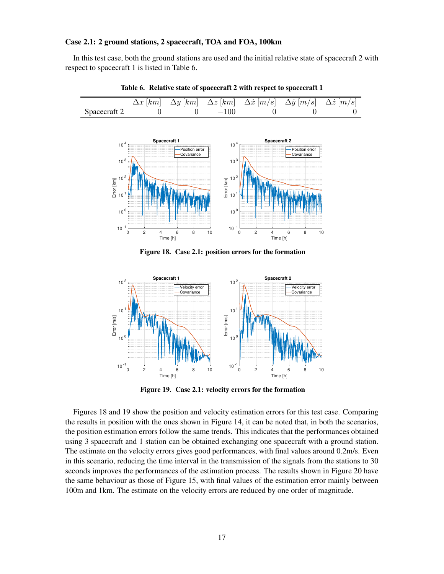# Case 2.1: 2 ground stations, 2 spacecraft, TOA and FOA, 100km

In this test case, both the ground stations are used and the initial relative state of spacecraft 2 with respect to spacecraft 1 is listed in Table [6.](#page-16-0)



<span id="page-16-0"></span>Table 6. Relative state of spacecraft 2 with respect to spacecraft 1

<span id="page-16-1"></span>Figure 18. Case 2.1: position errors for the formation



<span id="page-16-2"></span>Figure 19. Case 2.1: velocity errors for the formation

Figures [18](#page-16-1) and [19](#page-16-2) show the position and velocity estimation errors for this test case. Comparing the results in position with the ones shown in Figure [14,](#page-14-1) it can be noted that, in both the scenarios, the position estimation errors follow the same trends. This indicates that the performances obtained using 3 spacecraft and 1 station can be obtained exchanging one spacecraft with a ground station. The estimate on the velocity errors gives good performances, with final values around 0.2m/s. Even in this scenario, reducing the time interval in the transmission of the signals from the stations to 30 seconds improves the performances of the estimation process. The results shown in Figure [20](#page-17-0) have the same behaviour as those of Figure [15,](#page-14-2) with final values of the estimation error mainly between 100m and 1km. The estimate on the velocity errors are reduced by one order of magnitude.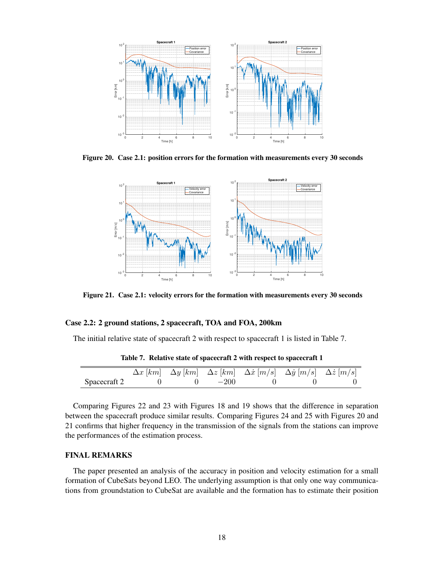

Figure 20. Case 2.1: position errors for the formation with measurements every 30 seconds

<span id="page-17-0"></span>

<span id="page-17-2"></span>Figure 21. Case 2.1: velocity errors for the formation with measurements every 30 seconds

## Case 2.2: 2 ground stations, 2 spacecraft, TOA and FOA, 200km

The initial relative state of spacecraft 2 with respect to spacecraft 1 is listed in Table [7.](#page-17-1)

|              |  |            | $\Delta x$ [km] $\Delta y$ [km] $\Delta z$ [km] $\Delta \dot{x}$ [m/s] $\Delta \dot{y}$ [m/s] $\Delta \dot{z}$ [m/s] |  |
|--------------|--|------------|----------------------------------------------------------------------------------------------------------------------|--|
| Spacecraft 2 |  | 0 0 $-200$ |                                                                                                                      |  |

<span id="page-17-1"></span>Table 7. Relative state of spacecraft 2 with respect to spacecraft 1

Comparing Figures [22](#page-18-0) and [23](#page-18-1) with Figures [18](#page-16-1) and [19](#page-16-2) shows that the difference in separation between the spacecraft produce similar results. Comparing Figures [24](#page-18-2) and [25](#page-19-7) with Figures [20](#page-17-0) and [21](#page-17-2) confirms that higher frequency in the transmission of the signals from the stations can improve the performances of the estimation process.

# FINAL REMARKS

The paper presented an analysis of the accuracy in position and velocity estimation for a small formation of CubeSats beyond LEO. The underlying assumption is that only one way communications from groundstation to CubeSat are available and the formation has to estimate their position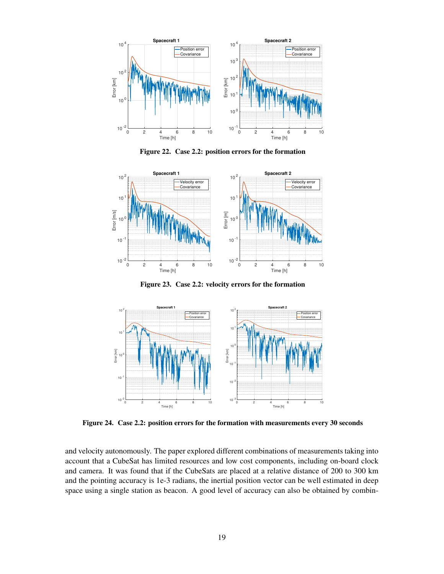

<span id="page-18-0"></span>Figure 22. Case 2.2: position errors for the formation



<span id="page-18-1"></span>Figure 23. Case 2.2: velocity errors for the formation



<span id="page-18-2"></span>Figure 24. Case 2.2: position errors for the formation with measurements every 30 seconds

and velocity autonomously. The paper explored different combinations of measurements taking into account that a CubeSat has limited resources and low cost components, including on-board clock and camera. It was found that if the CubeSats are placed at a relative distance of 200 to 300 km and the pointing accuracy is 1e-3 radians, the inertial position vector can be well estimated in deep space using a single station as beacon. A good level of accuracy can also be obtained by combin-